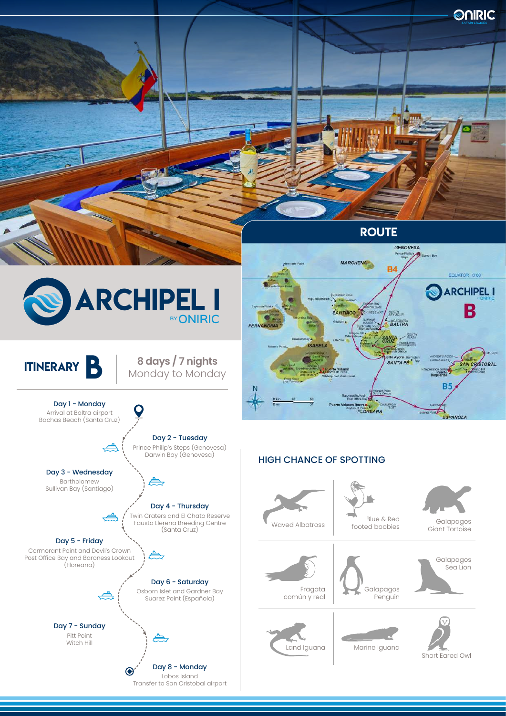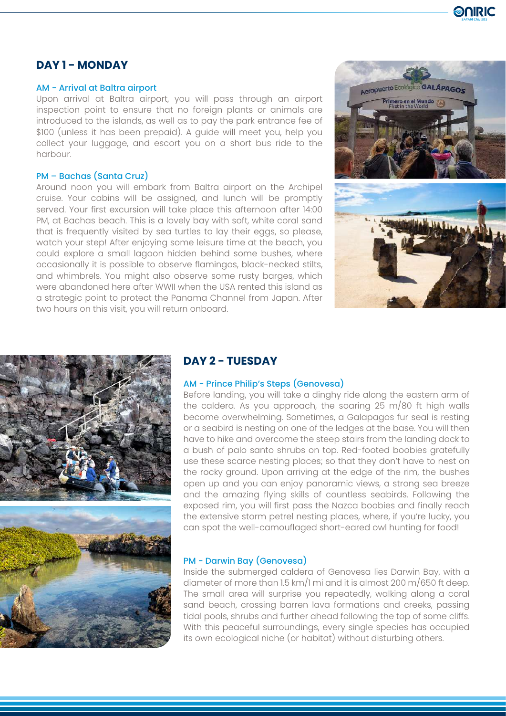

# **DAY 1 - MONDAY**

#### AM - Arrival at Baltra airport

Upon arrival at Baltra airport, you will pass through an airport inspection point to ensure that no foreign plants or animals are introduced to the islands, as well as to pay the park entrance fee of \$100 (unless it has been prepaid). A guide will meet you, help you collect your luggage, and escort you on a short bus ride to the harbour.

### PM – Bachas (Santa Cruz)

Around noon you will embark from Baltra airport on the Archipel cruise. Your cabins will be assigned, and lunch will be promptly served. Your first excursion will take place this afternoon after 14:00 PM, at Bachas beach. This is a lovely bay with soft, white coral sand that is frequently visited by sea turtles to lay their eggs, so please, watch your step! After enjoying some leisure time at the beach, you could explore a small lagoon hidden behind some bushes, where occasionally it is possible to observe flamingos, black-necked stilts, and whimbrels. You might also observe some rusty barges, which were abandoned here after WWII when the USA rented this island as a strategic point to protect the Panama Channel from Japan. After two hours on this visit, you will return onboard.





## **DAY 2 - TUESDAY**

### AM - Prince Philip's Steps (Genovesa)

Before landing, you will take a dinghy ride along the eastern arm of the caldera. As you approach, the soaring 25 m/80 ft high walls become overwhelming. Sometimes, a Galapagos fur seal is resting or a seabird is nesting on one of the ledges at the base. You will then have to hike and overcome the steep stairs from the landing dock to a bush of palo santo shrubs on top. Red-footed boobies gratefully use these scarce nesting places; so that they don't have to nest on the rocky ground. Upon arriving at the edge of the rim, the bushes open up and you can enjoy panoramic views, a strong sea breeze and the amazing flying skills of countless seabirds. Following the exposed rim, you will first pass the Nazca boobies and finally reach the extensive storm petrel nesting places, where, if you're lucky, you can spot the well-camouflaged short-eared owl hunting for food!

### PM - Darwin Bay (Genovesa)

Inside the submerged caldera of Genovesa lies Darwin Bay, with a diameter of more than 1.5 km/1 mi and it is almost 200 m/650 ft deep. The small area will surprise you repeatedly, walking along a coral sand beach, crossing barren lava formations and creeks, passing tidal pools, shrubs and further ahead following the top of some cliffs. With this peaceful surroundings, every single species has occupied its own ecological niche (or habitat) without disturbing others.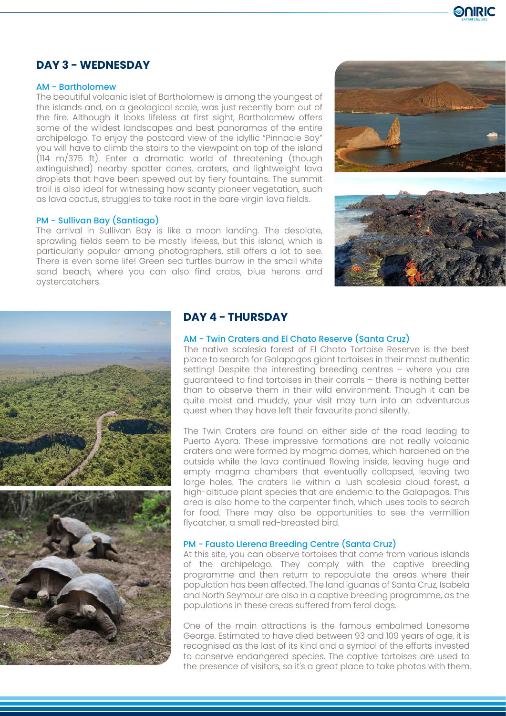

# **DAY 3 - WEDNESDAY**

### AM - Bartholomew

The beautiful volcanic islet of Bartholomew is among the youngest of the islands and, on a geological scale, was just recently born out of the fire. Although it looks lifeless at first sight, Bartholomew offers some of the wildest landscapes and best panoramas of the entire archipelago. To enjoy the postcard view of the idyllic "Pinnacle Bay" you will have to climb the stairs to the viewpoint on top of the island (114 m/375 ft). Enter a dramatic world of threatening (though extinguished) nearby spatter cones, craters, and lightweight lava droplets that have been spewed out by fiery fountains. The summit trail is also ideal for witnessing how scanty pioneer vegetation, such as lava cactus, struggles to take root in the bare virgin lava fields.

#### PM - Sullivan Bay (Santiago)

The arrival in Sullivan Bay is like a moon landing. The desolate, sprawling fields seem to be mostly lifeless, but this island, which is particularly popular among photographers, still offers a lot to see. There is even some life! Green sea turtles burrow in the small white sand beach, where you can also find crabs, blue herons and oystercatchers.







# **DAY 4 - THURSDAY**

### AM - Twin Craters and El Chato Reserve (Santa Cruz)

The native scalesia forest of El Chato Tortoise Reserve is the best place to search for Galapagos giant tortoises in their most authentic setting! Despite the interesting breeding centres – where you are guaranteed to find tortoises in their corrals – there is nothing better than to observe them in their wild environment. Though it can be quite moist and muddy, your visit may turn into an adventurous quest when they have left their favourite pond silently.

The Twin Craters are found on either side of the road leading to Puerto Ayora. These impressive formations are not really volcanic craters and were formed by magma domes, which hardened on the outside while the lava continued flowing inside, leaving huge and empty magma chambers that eventually collapsed, leaving two large holes. The craters lie within a lush scalesia cloud forest, a high-altitude plant species that are endemic to the Galapagos. This area is also home to the carpenter finch, which uses tools to search for food. There may also be opportunities to see the vermillion flycatcher, a small red-breasted bird.

### PM - Fausto Llerena Breeding Centre (Santa Cruz)

At this site, you can observe tortoises that come from various islands of the archipelago. They comply with the captive breeding programme and then return to repopulate the areas where their population has been affected. The land iguanas of Santa Cruz, Isabela and North Seymour are also in a captive breeding programme, as the populations in these areas suffered from feral dogs.

One of the main attractions is the famous embalmed Lonesome George. Estimated to have died between 93 and 109 years of age, it is recognised as the last of its kind and a symbol of the efforts invested to conserve endangered species. The captive tortoises are used to the presence of visitors, so it's a great place to take photos with them.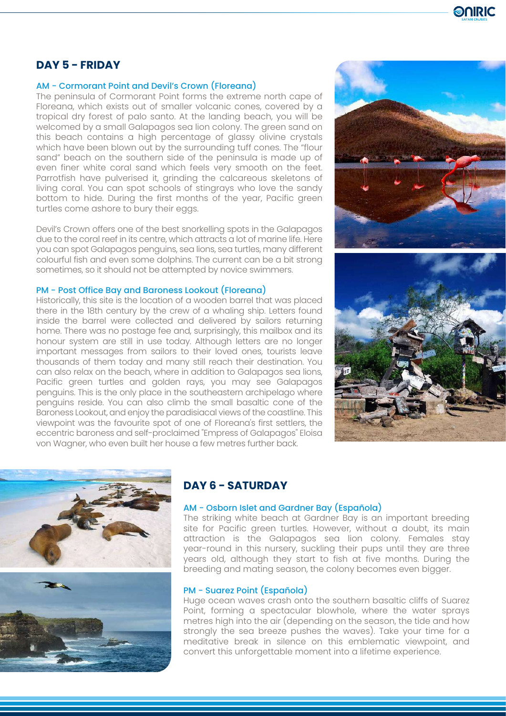

# **DAY 5 - FRIDAY**

#### AM - Cormorant Point and Devil's Crown (Floreana)

The peninsula of Cormorant Point forms the extreme north cape of Floreana, which exists out of smaller volcanic cones, covered by a tropical dry forest of palo santo. At the landing beach, you will be welcomed by a small Galapagos sea lion colony. The green sand on this beach contains a high percentage of glassy olivine crystals which have been blown out by the surrounding tuff cones. The "flour sand" beach on the southern side of the peninsula is made up of even finer white coral sand which feels very smooth on the feet. Parrotfish have pulverised it, grinding the calcareous skeletons of living coral. You can spot schools of stingrays who love the sandy bottom to hide. During the first months of the year, Pacific green turtles come ashore to bury their eggs.

Devil's Crown offers one of the best snorkelling spots in the Galapagos due to the coral reef in its centre, which attracts a lot of marine life. Here you can spot Galapagos penguins, sea lions, sea turtles, many different colourful fish and even some dolphins. The current can be a bit strong sometimes, so it should not be attempted by novice swimmers.

### PM - Post Office Bay and Baroness Lookout (Floreana)

Historically, this site is the location of a wooden barrel that was placed there in the 18th century by the crew of a whaling ship. Letters found inside the barrel were collected and delivered by sailors returning home. There was no postage fee and, surprisingly, this mailbox and its honour system are still in use today. Although letters are no longer important messages from sailors to their loved ones, tourists leave thousands of them today and many still reach their destination. You can also relax on the beach, where in addition to Galapagos sea lions, Pacific green turtles and golden rays, you may see Galapagos penguins. This is the only place in the southeastern archipelago where penguins reside. You can also climb the small basaltic cone of the Baroness Lookout, and enjoy the paradisiacal views of the coastline. This viewpoint was the favourite spot of one of Floreana's first settlers, the eccentric baroness and self-proclaimed "Empress of Galapagos" Eloisa von Wagner, who even built her house a few metres further back.







## **DAY 6 - SATURDAY**

### AM - Osborn Islet and Gardner Bay (Española)

The striking white beach at Gardner Bay is an important breeding site for Pacific green turtles. However, without a doubt, its main attraction is the Galapagos sea lion colony. Females stay year-round in this nursery, suckling their pups until they are three years old, although they start to fish at five months. During the breeding and mating season, the colony becomes even bigger.

### PM - Suarez Point (Española)

Huge ocean waves crash onto the southern basaltic cliffs of Suarez Point, forming a spectacular blowhole, where the water sprays metres high into the air (depending on the season, the tide and how strongly the sea breeze pushes the waves). Take your time for a meditative break in silence on this emblematic viewpoint, and convert this unforgettable moment into a lifetime experience.